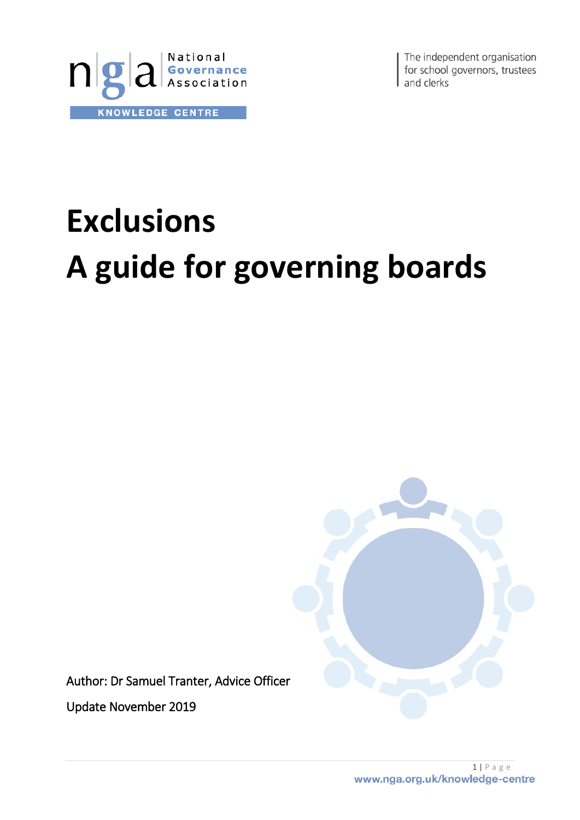

The independent organisation for school governors, trustees and clerks

# **Exclusions A guide for governing boards**

Author: Dr Samuel Tranter, Advice Officer

Update November 2019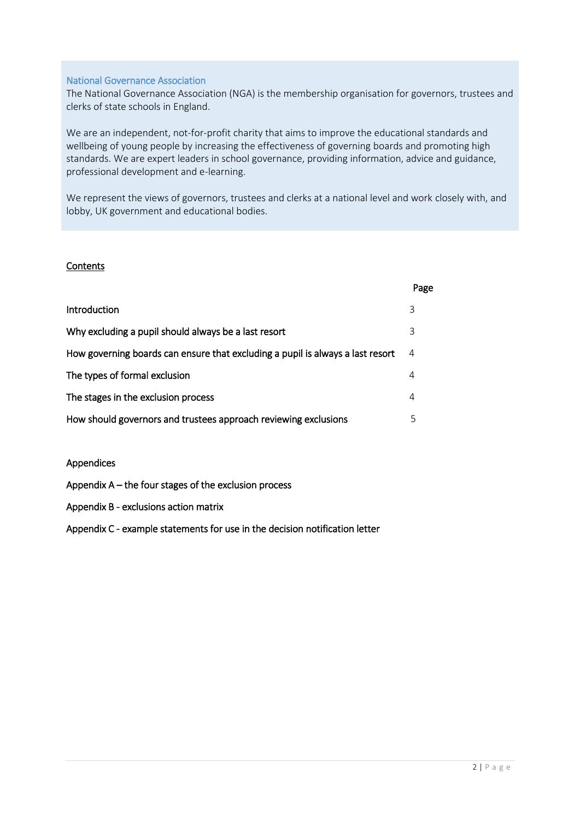#### National Governance Association

The National Governance Association (NGA) is the membership organisation for governors, trustees and clerks of state schools in England.

We are an independent, not-for-profit charity that aims to improve the educational standards and wellbeing of young people by increasing the effectiveness of governing boards and promoting high standards. We are expert leaders in school governance, providing information, advice and guidance, professional development and e-learning.

We represent the views of governors, trustees and clerks at a national level and work closely with, and lobby, UK government and educational bodies.

#### **Contents**

|                                                                                | Page |
|--------------------------------------------------------------------------------|------|
| Introduction                                                                   | 3    |
| Why excluding a pupil should always be a last resort                           | 3    |
| How governing boards can ensure that excluding a pupil is always a last resort | 4    |
| The types of formal exclusion                                                  | 4    |
| The stages in the exclusion process                                            | 4    |
| How should governors and trustees approach reviewing exclusions                | 5    |
|                                                                                |      |

#### Appendices

Appendix A – the four stages of the exclusion process

Appendix B - exclusions action matrix

Appendix C - example statements for use in the decision notification letter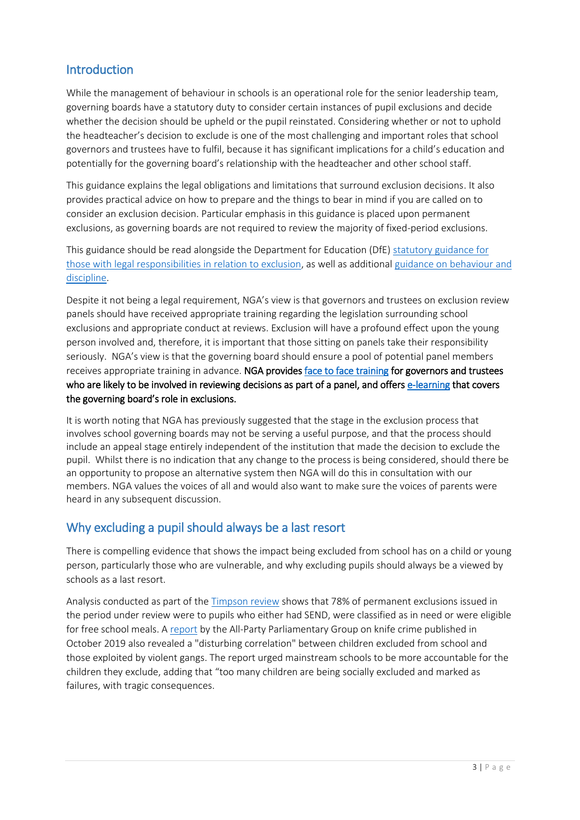## **Introduction**

While the management of behaviour in schools is an operational role for the senior leadership team, governing boards have a statutory duty to consider certain instances of pupil exclusions and decide whether the decision should be upheld or the pupil reinstated. Considering whether or not to uphold the headteacher's decision to exclude is one of the most challenging and important roles that school governors and trustees have to fulfil, because it has significant implications for a child's education and potentially for the governing board's relationship with the headteacher and other school staff.

This guidance explains the legal obligations and limitations that surround exclusion decisions. It also provides practical advice on how to prepare and the things to bear in mind if you are called on to consider an exclusion decision. Particular emphasis in this guidance is placed upon permanent exclusions, as governing boards are not required to review the majority of fixed-period exclusions.

This guidance should be read alongside the Department for Education (DfE[\) statutory guidance for](https://www.gov.uk/government/publications/school-exclusion)  [those with legal responsibilities in relation to exclusion,](https://www.gov.uk/government/publications/school-exclusion) as well as additional [guidance on behaviour and](https://www.gov.uk/government/publications/behaviour-and-discipline-in-schools-guidance-for-governing-bodies)  [discipline.](https://www.gov.uk/government/publications/behaviour-and-discipline-in-schools-guidance-for-governing-bodies)

Despite it not being a legal requirement, NGA's view is that governors and trustees on exclusion review panels should have received appropriate training regarding the legislation surrounding school exclusions and appropriate conduct at reviews. Exclusion will have a profound effect upon the young person involved and, therefore, it is important that those sitting on panels take their responsibility seriously. NGA's view is that the governing board should ensure a pool of potential panel members receives appropriate training in advance. NGA provide[s face to face training](https://www.nga.org.uk/Training-and-Development/Training-Modules/Good-Governance/Panel-work-reviewing-decisions-made-by-the-senior.aspx) for governors and trustees who are likely to be involved in reviewing decisions as part of a panel, and offers [e-learning](https://www.nga.org.uk/Training-and-Development/NGA-Learning-Link-e-learning/Learning-Link-modules/Pupil-success-and-wellbeing/Exclusions.aspx) that covers the governing board's role in exclusions.

It is worth noting that NGA has previously suggested that the stage in the exclusion process that involves school governing boards may not be serving a useful purpose, and that the process should include an appeal stage entirely independent of the institution that made the decision to exclude the pupil. Whilst there is no indication that any change to the process is being considered, should there be an opportunity to propose an alternative system then NGA will do this in consultation with our members. NGA values the voices of all and would also want to make sure the voices of parents were heard in any subsequent discussion.

## Why excluding a pupil should always be a last resort

There is compelling evidence that shows the impact being excluded from school has on a child or young person, particularly those who are vulnerable, and why excluding pupils should always be a viewed by schools as a last resort.

Analysis conducted as part of the [Timpson review](https://www.gov.uk/government/consultations/school-exclusions-review-call-for-evidence?utm_source=5a6a7968-f163-42d6-a001-7fc28d5a45ed&utm_medium=email&utm_campaign=govuk-notifications&utm_content=immediate) shows that 78% of permanent exclusions issued in the period under review were to pupils who either had SEND, were classified as in need or were eligible for free school meals. [A report](http://www.preventknifecrime.co.uk/wp-content/uploads/2019/10/APPG-on-Knife-Crime-Back-to-School-exclusions-report-FINAL.pdf) by the All-Party Parliamentary Group on knife crime published in October 2019 also revealed a "disturbing correlation" between children excluded from school and those exploited by violent gangs. The report urged mainstream schools to be more accountable for the children they exclude, adding that "too many children are being socially excluded and marked as failures, with tragic consequences.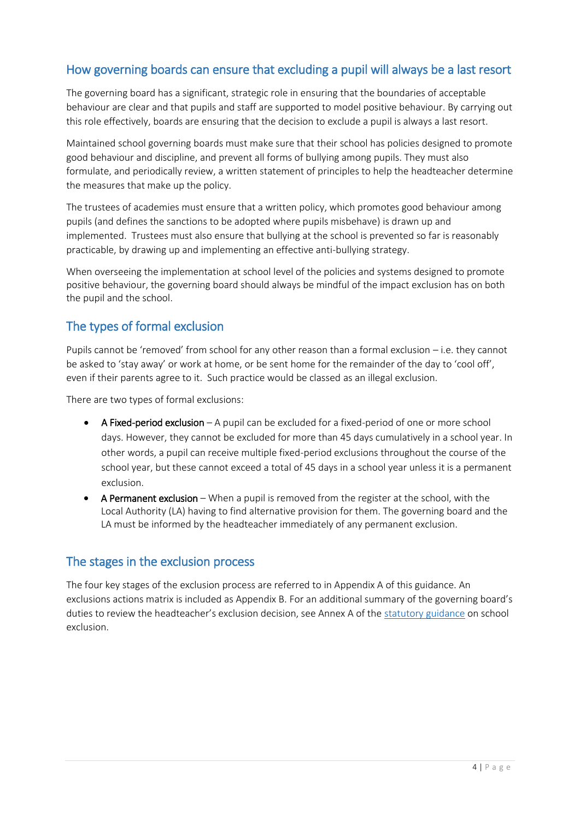## How governing boards can ensure that excluding a pupil will always be a last resort

The governing board has a significant, strategic role in ensuring that the boundaries of acceptable behaviour are clear and that pupils and staff are supported to model positive behaviour. By carrying out this role effectively, boards are ensuring that the decision to exclude a pupil is always a last resort.

Maintained school governing boards must make sure that their school has policies designed to promote good behaviour and discipline, and prevent all forms of bullying among pupils. They must also formulate, and periodically review, a written statement of principles to help the headteacher determine the measures that make up the policy.

The trustees of academies must ensure that a written policy, which promotes good behaviour among pupils (and defines the sanctions to be adopted where pupils misbehave) is drawn up and implemented. Trustees must also ensure that bullying at the school is prevented so far is reasonably practicable, by drawing up and implementing an effective anti-bullying strategy.

When overseeing the implementation at school level of the policies and systems designed to promote positive behaviour, the governing board should always be mindful of the impact exclusion has on both the pupil and the school.

## The types of formal exclusion

Pupils cannot be 'removed' from school for any other reason than a formal exclusion – i.e. they cannot be asked to 'stay away' or work at home, or be sent home for the remainder of the day to 'cool off', even if their parents agree to it. Such practice would be classed as an illegal exclusion.

There are two types of formal exclusions:

- A Fixed-period exclusion A pupil can be excluded for a fixed-period of one or more school days. However, they cannot be excluded for more than 45 days cumulatively in a school year. In other words, a pupil can receive multiple fixed-period exclusions throughout the course of the school year, but these cannot exceed a total of 45 days in a school year unless it is a permanent exclusion.
- A Permanent exclusion When a pupil is removed from the register at the school, with the Local Authority (LA) having to find alternative provision for them. The governing board and the LA must be informed by the headteacher immediately of any permanent exclusion.

### The stages in the exclusion process

The four key stages of the exclusion process are referred to in Appendix A of this guidance. An exclusions actions matrix is included as Appendix B. For an additional summary of the governing board's duties to review the headteacher's exclusion decision, see Annex A of the [statutory guidance](https://www.gov.uk/government/publications/school-exclusion) on school exclusion.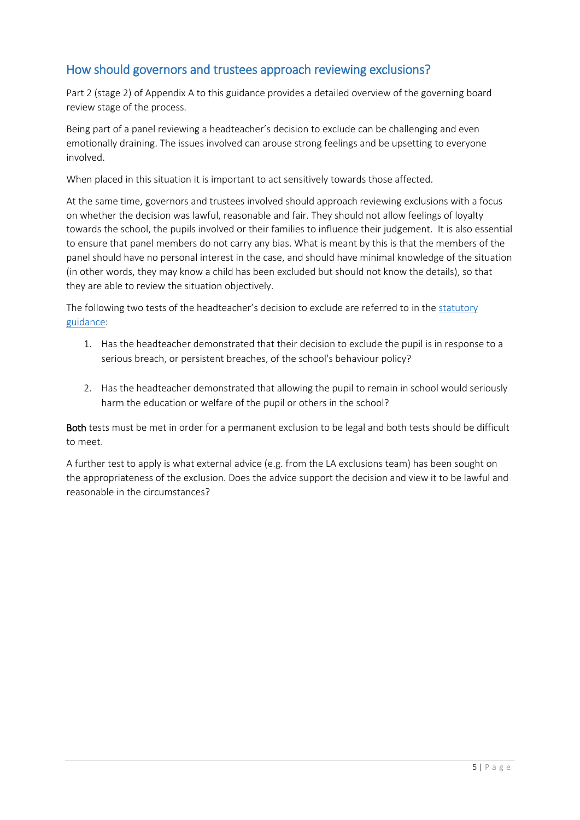## How should governors and trustees approach reviewing exclusions?

Part 2 (stage 2) of Appendix A to this guidance provides a detailed overview of the governing board review stage of the process.

Being part of a panel reviewing a headteacher's decision to exclude can be challenging and even emotionally draining. The issues involved can arouse strong feelings and be upsetting to everyone involved.

When placed in this situation it is important to act sensitively towards those affected.

At the same time, governors and trustees involved should approach reviewing exclusions with a focus on whether the decision was lawful, reasonable and fair. They should not allow feelings of loyalty towards the school, the pupils involved or their families to influence their judgement. It is also essential to ensure that panel members do not carry any bias. What is meant by this is that the members of the panel should have no personal interest in the case, and should have minimal knowledge of the situation (in other words, they may know a child has been excluded but should not know the details), so that they are able to review the situation objectively.

The following two tests of the headteacher's decision to exclude are referred to in the [statutory](https://www.gov.uk/government/publications/school-exclusion)  [guidance:](https://www.gov.uk/government/publications/school-exclusion)

- 1. Has the headteacher demonstrated that their decision to exclude the pupil is in response to a serious breach, or persistent breaches, of the school's behaviour policy?
- 2. Has the headteacher demonstrated that allowing the pupil to remain in school would seriously harm the education or welfare of the pupil or others in the school?

Both tests must be met in order for a permanent exclusion to be legal and both tests should be difficult to meet.

A further test to apply is what external advice (e.g. from the LA exclusions team) has been sought on the appropriateness of the exclusion. Does the advice support the decision and view it to be lawful and reasonable in the circumstances?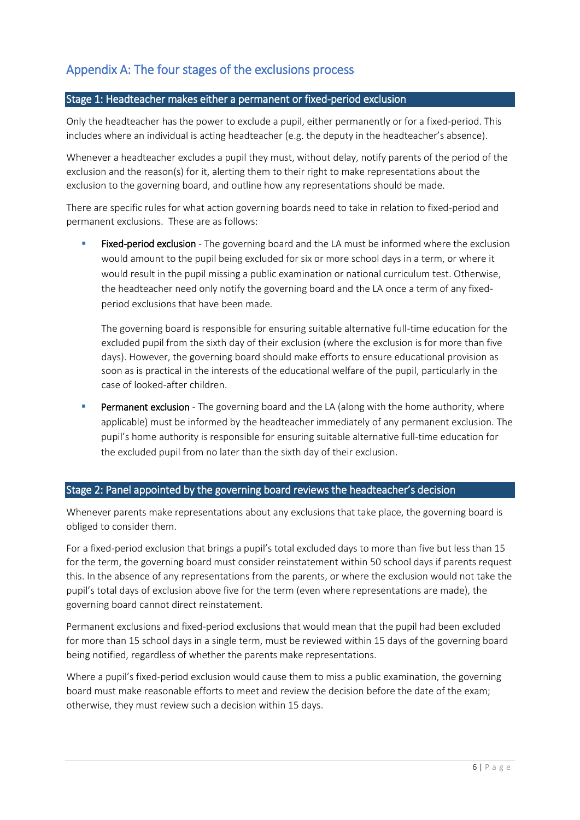## Appendix A: The four stages of the exclusions process

#### Stage 1: Headteacher makes either a permanent or fixed-period exclusion

Only the headteacher has the power to exclude a pupil, either permanently or for a fixed-period. This includes where an individual is acting headteacher (e.g. the deputy in the headteacher's absence).

Whenever a headteacher excludes a pupil they must, without delay, notify parents of the period of the exclusion and the reason(s) for it, alerting them to their right to make representations about the exclusion to the governing board, and outline how any representations should be made.

There are specific rules for what action governing boards need to take in relation to fixed-period and permanent exclusions. These are as follows:

**Fixed-period exclusion** - The governing board and the LA must be informed where the exclusion would amount to the pupil being excluded for six or more school days in a term, or where it would result in the pupil missing a public examination or national curriculum test. Otherwise, the headteacher need only notify the governing board and the LA once a term of any fixedperiod exclusions that have been made.

The governing board is responsible for ensuring suitable alternative full-time education for the excluded pupil from the sixth day of their exclusion (where the exclusion is for more than five days). However, the governing board should make efforts to ensure educational provision as soon as is practical in the interests of the educational welfare of the pupil, particularly in the case of looked-after children.

**Permanent exclusion** - The governing board and the LA (along with the home authority, where applicable) must be informed by the headteacher immediately of any permanent exclusion. The pupil's home authority is responsible for ensuring suitable alternative full-time education for the excluded pupil from no later than the sixth day of their exclusion.

#### Stage 2: Panel appointed by the governing board reviews the headteacher's decision

Whenever parents make representations about any exclusions that take place, the governing board is obliged to consider them.

For a fixed-period exclusion that brings a pupil's total excluded days to more than five but less than 15 for the term, the governing board must consider reinstatement within 50 school days if parents request this. In the absence of any representations from the parents, or where the exclusion would not take the pupil's total days of exclusion above five for the term (even where representations are made), the governing board cannot direct reinstatement.

Permanent exclusions and fixed-period exclusions that would mean that the pupil had been excluded for more than 15 school days in a single term, must be reviewed within 15 days of the governing board being notified, regardless of whether the parents make representations.

Where a pupil's fixed-period exclusion would cause them to miss a public examination, the governing board must make reasonable efforts to meet and review the decision before the date of the exam; otherwise, they must review such a decision within 15 days.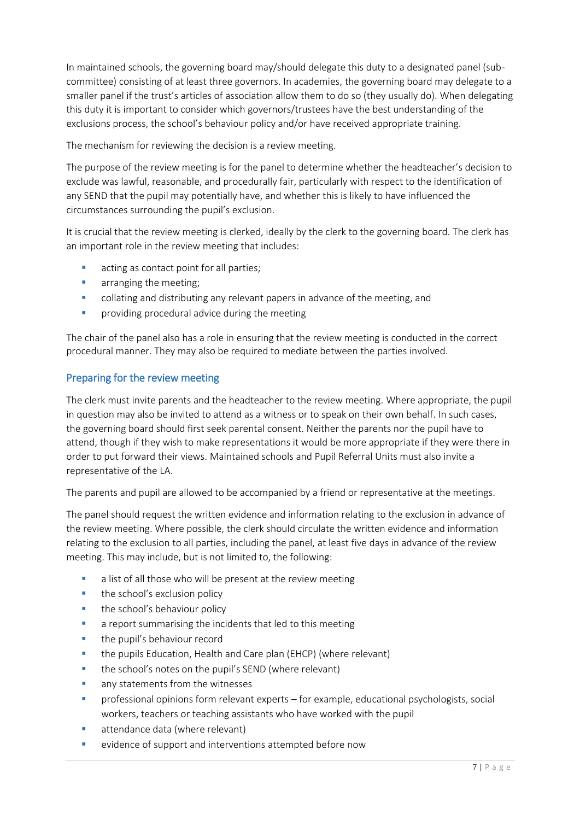In maintained schools, the governing board may/should delegate this duty to a designated panel (subcommittee) consisting of at least three governors. In academies, the governing board may delegate to a smaller panel if the trust's articles of association allow them to do so (they usually do). When delegating this duty it is important to consider which governors/trustees have the best understanding of the exclusions process, the school's behaviour policy and/or have received appropriate training.

The mechanism for reviewing the decision is a review meeting.

The purpose of the review meeting is for the panel to determine whether the headteacher's decision to exclude was lawful, reasonable, and procedurally fair, particularly with respect to the identification of any SEND that the pupil may potentially have, and whether this is likely to have influenced the circumstances surrounding the pupil's exclusion.

It is crucial that the review meeting is clerked, ideally by the clerk to the governing board. The clerk has an important role in the review meeting that includes:

- acting as contact point for all parties;
- **•** arranging the meeting;
- collating and distributing any relevant papers in advance of the meeting, and
- **•** providing procedural advice during the meeting

The chair of the panel also has a role in ensuring that the review meeting is conducted in the correct procedural manner. They may also be required to mediate between the parties involved.

#### Preparing for the review meeting

The clerk must invite parents and the headteacher to the review meeting. Where appropriate, the pupil in question may also be invited to attend as a witness or to speak on their own behalf. In such cases, the governing board should first seek parental consent. Neither the parents nor the pupil have to attend, though if they wish to make representations it would be more appropriate if they were there in order to put forward their views. Maintained schools and Pupil Referral Units must also invite a representative of the LA.

The parents and pupil are allowed to be accompanied by a friend or representative at the meetings.

The panel should request the written evidence and information relating to the exclusion in advance of the review meeting. Where possible, the clerk should circulate the written evidence and information relating to the exclusion to all parties, including the panel, at least five days in advance of the review meeting. This may include, but is not limited to, the following:

- a list of all those who will be present at the review meeting
- the school's exclusion policy
- **the school's behaviour policy**
- a report summarising the incidents that led to this meeting
- the pupil's behaviour record
- the pupils Education, Health and Care plan (EHCP) (where relevant)
- **the school's notes on the pupil's SEND (where relevant)**
- any statements from the witnesses
- professional opinions form relevant experts for example, educational psychologists, social workers, teachers or teaching assistants who have worked with the pupil
- attendance data (where relevant)
- **EXECUTE:** evidence of support and interventions attempted before now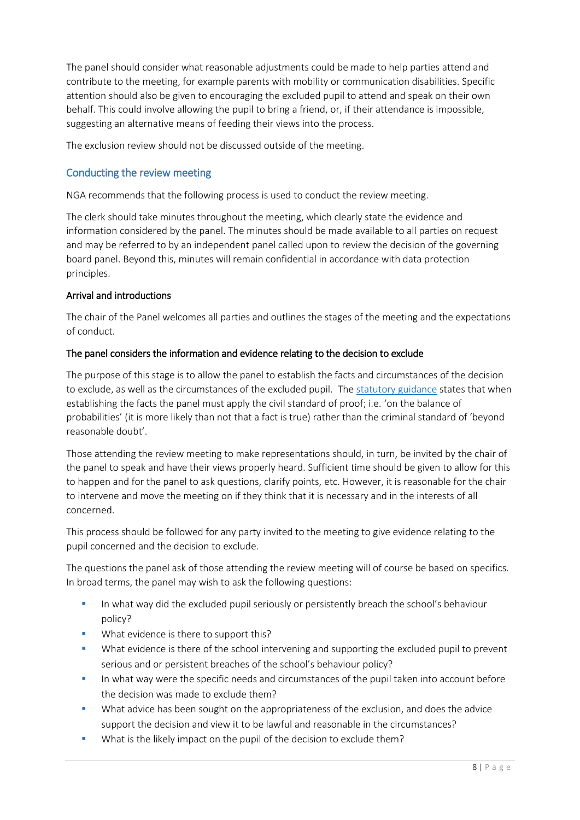The panel should consider what reasonable adjustments could be made to help parties attend and contribute to the meeting, for example parents with mobility or communication disabilities. Specific attention should also be given to encouraging the excluded pupil to attend and speak on their own behalf. This could involve allowing the pupil to bring a friend, or, if their attendance is impossible, suggesting an alternative means of feeding their views into the process.

The exclusion review should not be discussed outside of the meeting.

#### Conducting the review meeting

NGA recommends that the following process is used to conduct the review meeting.

The clerk should take minutes throughout the meeting, which clearly state the evidence and information considered by the panel. The minutes should be made available to all parties on request and may be referred to by an independent panel called upon to review the decision of the governing board panel. Beyond this, minutes will remain confidential in accordance with data protection principles.

#### Arrival and introductions

The chair of the Panel welcomes all parties and outlines the stages of the meeting and the expectations of conduct.

#### The panel considers the information and evidence relating to the decision to exclude

The purpose of this stage is to allow the panel to establish the facts and circumstances of the decision to exclude, as well as the circumstances of the excluded pupil. The [statutory guidance](https://www.gov.uk/government/publications/school-exclusion) states that when establishing the facts the panel must apply the civil standard of proof; i.e. 'on the balance of probabilities' (it is more likely than not that a fact is true) rather than the criminal standard of 'beyond reasonable doubt'.

Those attending the review meeting to make representations should, in turn, be invited by the chair of the panel to speak and have their views properly heard. Sufficient time should be given to allow for this to happen and for the panel to ask questions, clarify points, etc. However, it is reasonable for the chair to intervene and move the meeting on if they think that it is necessary and in the interests of all concerned.

This process should be followed for any party invited to the meeting to give evidence relating to the pupil concerned and the decision to exclude.

The questions the panel ask of those attending the review meeting will of course be based on specifics. In broad terms, the panel may wish to ask the following questions:

- In what way did the excluded pupil seriously or persistently breach the school's behaviour policy?
- What evidence is there to support this?
- What evidence is there of the school intervening and supporting the excluded pupil to prevent serious and or persistent breaches of the school's behaviour policy?
- In what way were the specific needs and circumstances of the pupil taken into account before the decision was made to exclude them?
- What advice has been sought on the appropriateness of the exclusion, and does the advice support the decision and view it to be lawful and reasonable in the circumstances?
- What is the likely impact on the pupil of the decision to exclude them?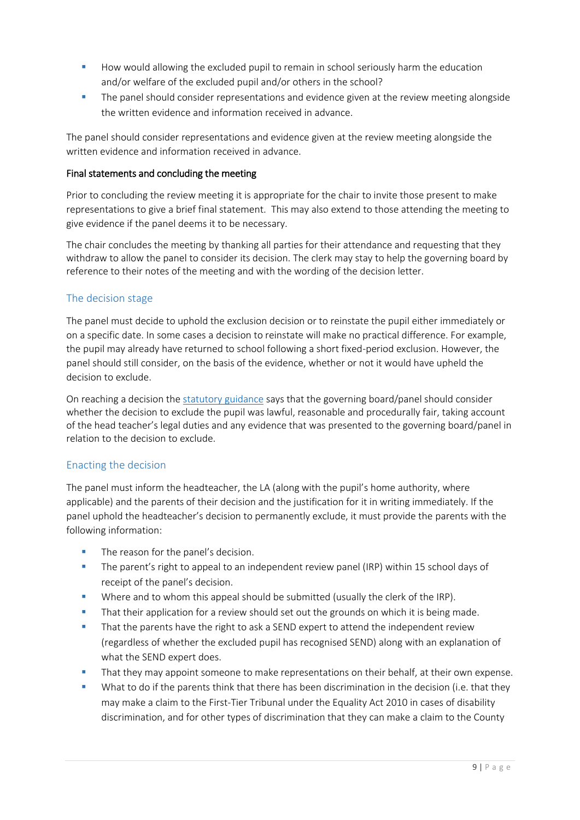- How would allowing the excluded pupil to remain in school seriously harm the education and/or welfare of the excluded pupil and/or others in the school?
- **The panel should consider representations and evidence given at the review meeting alongside** the written evidence and information received in advance.

The panel should consider representations and evidence given at the review meeting alongside the written evidence and information received in advance.

#### Final statements and concluding the meeting

Prior to concluding the review meeting it is appropriate for the chair to invite those present to make representations to give a brief final statement. This may also extend to those attending the meeting to give evidence if the panel deems it to be necessary.

The chair concludes the meeting by thanking all parties for their attendance and requesting that they withdraw to allow the panel to consider its decision. The clerk may stay to help the governing board by reference to their notes of the meeting and with the wording of the decision letter.

#### The decision stage

The panel must decide to uphold the exclusion decision or to reinstate the pupil either immediately or on a specific date. In some cases a decision to reinstate will make no practical difference. For example, the pupil may already have returned to school following a short fixed-period exclusion. However, the panel should still consider, on the basis of the evidence, whether or not it would have upheld the decision to exclude.

On reaching a decision the [statutory guidance](https://www.gov.uk/government/publications/school-exclusion) says that the governing board/panel should consider whether the decision to exclude the pupil was lawful, reasonable and procedurally fair, taking account of the head teacher's legal duties and any evidence that was presented to the governing board/panel in relation to the decision to exclude.

#### Enacting the decision

The panel must inform the headteacher, the LA (along with the pupil's home authority, where applicable) and the parents of their decision and the justification for it in writing immediately. If the panel uphold the headteacher's decision to permanently exclude, it must provide the parents with the following information:

- The reason for the panel's decision.
- The parent's right to appeal to an independent review panel (IRP) within 15 school days of receipt of the panel's decision.
- Where and to whom this appeal should be submitted (usually the clerk of the IRP).
- That their application for a review should set out the grounds on which it is being made.
- That the parents have the right to ask a SEND expert to attend the independent review (regardless of whether the excluded pupil has recognised SEND) along with an explanation of what the SEND expert does.
- That they may appoint someone to make representations on their behalf, at their own expense.
- What to do if the parents think that there has been discrimination in the decision (i.e. that they may make a claim to the First-Tier Tribunal under the Equality Act 2010 in cases of disability discrimination, and for other types of discrimination that they can make a claim to the County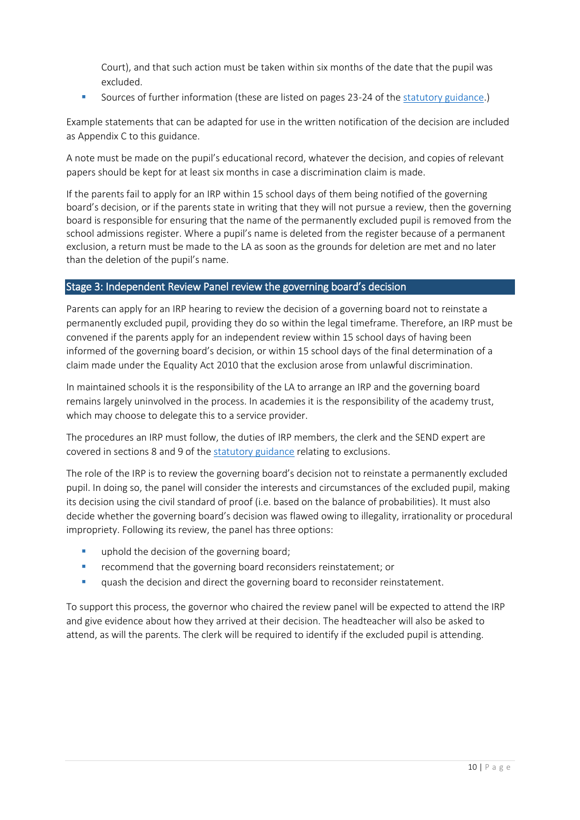Court), and that such action must be taken within six months of the date that the pupil was excluded.

Sources of further information (these are listed on pages 23-24 of the [statutory guidance.](https://www.gov.uk/government/publications/school-exclusion))

Example statements that can be adapted for use in the written notification of the decision are included as Appendix C to this guidance.

A note must be made on the pupil's educational record, whatever the decision, and copies of relevant papers should be kept for at least six months in case a discrimination claim is made.

If the parents fail to apply for an IRP within 15 school days of them being notified of the governing board's decision, or if the parents state in writing that they will not pursue a review, then the governing board is responsible for ensuring that the name of the permanently excluded pupil is removed from the school admissions register. Where a pupil's name is deleted from the register because of a permanent exclusion, a return must be made to the LA as soon as the grounds for deletion are met and no later than the deletion of the pupil's name.

#### Stage 3: Independent Review Panel review the governing board's decision

Parents can apply for an IRP hearing to review the decision of a governing board not to reinstate a permanently excluded pupil, providing they do so within the legal timeframe. Therefore, an IRP must be convened if the parents apply for an independent review within 15 school days of having been informed of the governing board's decision, or within 15 school days of the final determination of a claim made under the Equality Act 2010 that the exclusion arose from unlawful discrimination.

In maintained schools it is the responsibility of the LA to arrange an IRP and the governing board remains largely uninvolved in the process. In academies it is the responsibility of the academy trust, which may choose to delegate this to a service provider.

The procedures an IRP must follow, the duties of IRP members, the clerk and the SEND expert are covered in sections 8 and 9 of the [statutory guidance](https://www.gov.uk/government/publications/school-exclusion) relating to exclusions.

The role of the IRP is to review the governing board's decision not to reinstate a permanently excluded pupil. In doing so, the panel will consider the interests and circumstances of the excluded pupil, making its decision using the civil standard of proof (i.e. based on the balance of probabilities). It must also decide whether the governing board's decision was flawed owing to illegality, irrationality or procedural impropriety. Following its review, the panel has three options:

- uphold the decision of the governing board;
- **F** recommend that the governing board reconsiders reinstatement; or
- quash the decision and direct the governing board to reconsider reinstatement.

To support this process, the governor who chaired the review panel will be expected to attend the IRP and give evidence about how they arrived at their decision. The headteacher will also be asked to attend, as will the parents. The clerk will be required to identify if the excluded pupil is attending.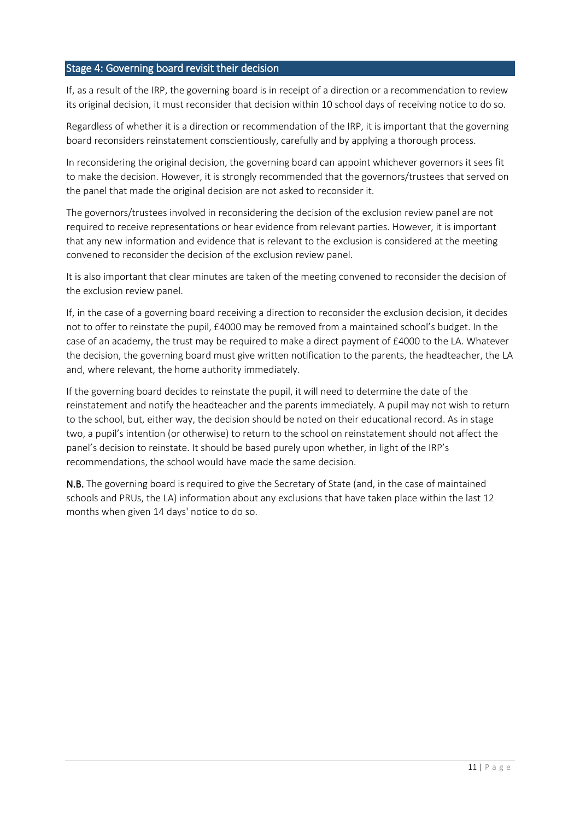#### Stage 4: Governing board revisit their decision

If, as a result of the IRP, the governing board is in receipt of a direction or a recommendation to review its original decision, it must reconsider that decision within 10 school days of receiving notice to do so.

Regardless of whether it is a direction or recommendation of the IRP, it is important that the governing board reconsiders reinstatement conscientiously, carefully and by applying a thorough process.

In reconsidering the original decision, the governing board can appoint whichever governors it sees fit to make the decision. However, it is strongly recommended that the governors/trustees that served on the panel that made the original decision are not asked to reconsider it.

The governors/trustees involved in reconsidering the decision of the exclusion review panel are not required to receive representations or hear evidence from relevant parties. However, it is important that any new information and evidence that is relevant to the exclusion is considered at the meeting convened to reconsider the decision of the exclusion review panel.

It is also important that clear minutes are taken of the meeting convened to reconsider the decision of the exclusion review panel.

If, in the case of a governing board receiving a direction to reconsider the exclusion decision, it decides not to offer to reinstate the pupil, £4000 may be removed from a maintained school's budget. In the case of an academy, the trust may be required to make a direct payment of £4000 to the LA. Whatever the decision, the governing board must give written notification to the parents, the headteacher, the LA and, where relevant, the home authority immediately.

If the governing board decides to reinstate the pupil, it will need to determine the date of the reinstatement and notify the headteacher and the parents immediately. A pupil may not wish to return to the school, but, either way, the decision should be noted on their educational record. As in stage two, a pupil's intention (or otherwise) to return to the school on reinstatement should not affect the panel's decision to reinstate. It should be based purely upon whether, in light of the IRP's recommendations, the school would have made the same decision.

N.B. The governing board is required to give the Secretary of State (and, in the case of maintained schools and PRUs, the LA) information about any exclusions that have taken place within the last 12 months when given 14 days' notice to do so.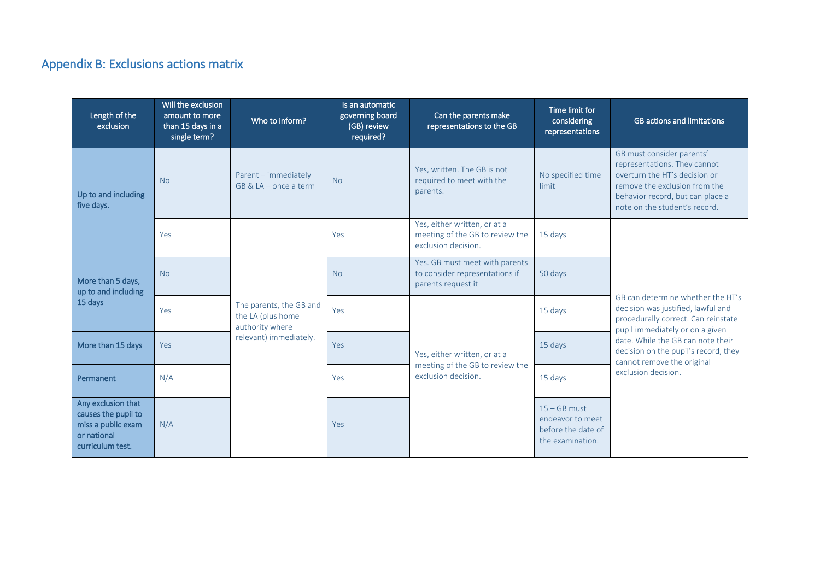## Appendix B: Exclusions actions matrix

| Length of the<br>exclusion                                                                         | Will the exclusion<br>amount to more<br>than 15 days in a<br>single term? | Who to inform?                                                                            | Is an automatic<br>governing board<br>(GB) review<br>required? | Can the parents make<br>representations to the GB                                      | Time limit for<br>considering<br>representations                             | <b>GB</b> actions and limitations                                                                                                                                                                |
|----------------------------------------------------------------------------------------------------|---------------------------------------------------------------------------|-------------------------------------------------------------------------------------------|----------------------------------------------------------------|----------------------------------------------------------------------------------------|------------------------------------------------------------------------------|--------------------------------------------------------------------------------------------------------------------------------------------------------------------------------------------------|
| Up to and including<br>five days.                                                                  | <b>No</b>                                                                 | Parent - immediately<br>$GB & LA - once a term$                                           | <b>No</b>                                                      | Yes, written. The GB is not<br>required to meet with the<br>parents.                   | No specified time<br>limit                                                   | GB must consider parents'<br>representations. They cannot<br>overturn the HT's decision or<br>remove the exclusion from the<br>behavior record, but can place a<br>note on the student's record. |
|                                                                                                    | Yes                                                                       | The parents, the GB and<br>the LA (plus home<br>authority where<br>relevant) immediately. | Yes                                                            | Yes, either written, or at a<br>meeting of the GB to review the<br>exclusion decision. | 15 days                                                                      | GB can determine whether the HT's<br>decision was justified, lawful and<br>procedurally correct. Can reinstate<br>pupil immediately or on a given                                                |
| More than 5 days,<br>up to and including<br>15 days                                                | <b>No</b>                                                                 |                                                                                           | <b>No</b>                                                      | Yes. GB must meet with parents<br>to consider representations if<br>parents request it | 50 days                                                                      |                                                                                                                                                                                                  |
|                                                                                                    | Yes                                                                       |                                                                                           | Yes                                                            |                                                                                        | 15 days                                                                      |                                                                                                                                                                                                  |
| More than 15 days                                                                                  | Yes                                                                       |                                                                                           | Yes                                                            | Yes, either written, or at a<br>meeting of the GB to review the                        | 15 days                                                                      | date. While the GB can note their<br>decision on the pupil's record, they<br>cannot remove the original                                                                                          |
| Permanent                                                                                          | N/A                                                                       |                                                                                           | Yes                                                            | exclusion decision.                                                                    | 15 days                                                                      | exclusion decision.                                                                                                                                                                              |
| Any exclusion that<br>causes the pupil to<br>miss a public exam<br>or national<br>curriculum test. | N/A                                                                       |                                                                                           | Yes                                                            |                                                                                        | $15 - GB$ must<br>endeavor to meet<br>before the date of<br>the examination. |                                                                                                                                                                                                  |